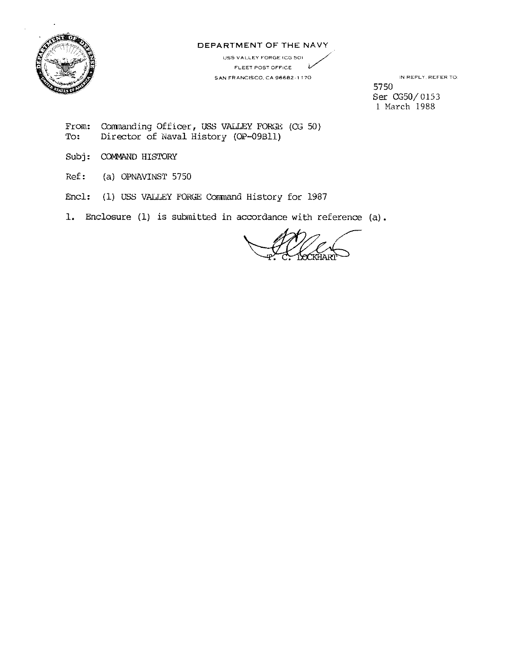

## DEPARTMENT OF THE NAVY

USS **VALLEY FORGE** (CG 501 ' \_// **FLEET POST OFFICE** *v* **SAN FRANCISCO. CA 96682-1** 170

IN REPLY. REFER TO 5750 Ser CG50/ 0153 1 March 1988

From: To: Comnanding Officer, USS VALLEY FORGE (CG 50) Director of Naval History (OP-09Bll)

- Subj: COMMAND HISTORY
- Ref: (a) OPNAVINST 5750
- Encl: (1) USS VALLEY FORGE Corrmand History for 1987

1. Enclosure (1) is subinitted in accordance with reference (a).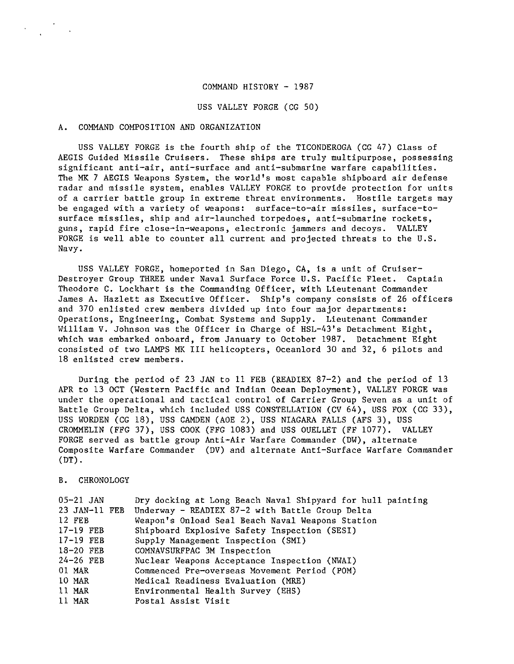#### COMMAND HISTORY - 1987

USS VALLEY FORGE (CG 50)

### A. COMMAND COMPOSITION AND ORGANIZATION

USS VALLEY FORGE is the fourth ship of the TICONDEROGA (CG 47) Class of AEGIS Guided Missile Cruisers. These ships are truly multipurpose, possessing significant anti-air, anti-surface and anti-submarine warfare capabilities. The MK 7 AEGIS Weapons System, the world's most capable shipboard air defense radar and missile system, enables VALLEY FORGE to provide protection for units of a carrier battle group in extreme threat environments. Hostile targets may be engaged with a variety of weapons: surface-to-air missiles, surface-tosurface missiles, ship and air-launched torpedoes, anti-submarine rockets, guns, rapid fire close-in-weapons, electronic jammers and decoys. VALLEY FORGE is well able to counter all current and projected threats to the U.S. Navy.

USS VALLEY FORGE, homeported in San Diego, CA, is a unit of Cruiser-Destroyer Group THREE under Naval Surface Force U.S. Pacific Fleet. Captain Theodore C. Lockhart is the Commanding Officer, with Lieutenant Commander James A. Hazlett as Executive Officer. Ship's company consists of 26 officers and 370 enlisted crew members divided up into four major departments: Operations, Engineering, Combat Systems and Supply. Lieutenant Commander William V. Johnson was the Officer in Charge of HSL-43's Detachment Eight, which was embarked onboard, from January to October 1987. Detachment Eight consisted of two LAMPS MK III helicopters, Oceanlord 30 and 32, 6 pilots and 18 enlisted crew members.

During the period of 23 JAN to 11 FEB (READIEX 87-2) and the period of 13 APR to 13 OCT (Western Pacific and Indian Ocean Deployment), VALLEY FORGE was under the operational and tactical control of Carrier Group Seven as a unit of Battle Group Delta, which included USS CONSTELLATION (CV 64), USS FOX (CG 33), USS WORDEN (CG 18), USS CAMDEN (AOE 2), USS NIAGARA FALLS (AFS 3), USS CROMMELIN (FFG 37), USS COOK (FFG 1083) and USS OUELLET (FF 1077). VALLEY FORGE served as battle group Anti-Air Warfare Commander (DW), alternate Composite Warfare Commander (DV) and alternate Anti-Surface Warfare Commander  $(DT)$ .

B. CHRONOLOGY

| $05 - 21$ JAN | Dry docking at Long Beach Naval Shipyard for hull painting |
|---------------|------------------------------------------------------------|
| 23 JAN-11 FEB | Underway - READIEX 87-2 with Battle Group Delta            |
| 12 FEB        | Weapon's Onload Seal Beach Naval Weapons Station           |
| $17-19$ FEB   | Shipboard Explosive Safety Inspection (SESI)               |
| $17-19$ FEB   | Supply Management Inspection (SMI)                         |
| 18-20 FEB     | COMNAVSURFPAC 3M Inspection                                |
| $24-26$ FEB   | Nuclear Weapons Acceptance Inspection (NWAI)               |
| 01 MAR        | Commenced Pre-overseas Movement Period (POM)               |
| 10 MAR        | Medical Readiness Evaluation (MRE)                         |
| 11 MAR        | Environmental Health Survey (EHS)                          |
| 11 MAR        | Postal Assist Visit                                        |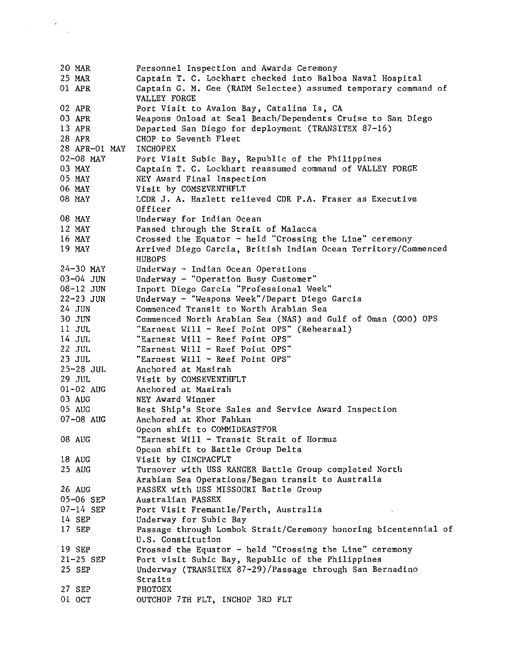20 MAR 25 MAR 01 APR 02 APR 03 APR 13 APR 28 APR 28 APR-01 MAY 02-08 MAY 03 MAY 05 MAY 06 MAY 08 MAY 08 MAY 12 MAY 16 MAY 19 MAY 24-30 MAY 03-04 JUN 08-12 JUN 22-23 JUN 24 JUN 30 JUN 11 JUL 14 JUL 22 JUL 23 JUL 25-28 JUL 29 JUL 01-02 AUG 03 AUG 05 AUG 07-08 AUG 08 AUG 18 AUG 25 AUG 26 AUG 05-06 SEP 07-14 SEP 14 SEP 17 SEP 19 SEP 21-25 SEP 25 SEP 27 SEP 01 OCT Personnel Inspection and Awards Ceremony Captain T. C. Lockhart checked into Balboa Naval Hospital Captain G. M. Gee (RADM Selectee) assumed temporary command of VALLEY FORGE Port Visit to Avalon Bay, Catalina Is, CA Weapons Onload at Seal Beach/Dependents Cruise to San Diego Departed San Diego for deployment (TRANSITEX 87-16) CHOP to Seventh Fleet INCHOPEX Port Visit Subic Bay, Republic of the Philippines Captain T. C. Lockhart reassumed command of VALLEY FORGE NEY Award Final Inspection Visit by COMSEVENTHFLT LCDR J. A. Hazlett relieved CDR P.A. Fraser as Executive Officer Underway for Indian Ocean Passed through the Strait of Malacca Crossed the Equator  $-$  held "Crossing the Line" ceremony Arrived Diego Garcia, British Indian Ocean Territory/Commenced HUBOPS Underway - Indian Ocean Operations Underway - "Operation Busy Customer" Inport Diego Garcia "Professional Week" Underway - "Weapons Week"/Depart Diego Garcia Commenced Transit to North Arabian Sea Commenced North Arabian Sea (NAS) and Gulf of Oman (GOO) OPS "Earnest Will - Reef Point OPS" (Rehearsal) "Earnest Will - Reef Point OPS" "Earnest Will - Reef Point OPS" "Earnest Will - Reef Point OPS" Anchored at Masirah Visit by COMSEVENTHFLT Anchored at Masirah NEY Award Winner Best Ship's Store Sales and Service Award Inspection Anchored at Khor Fahkan Opcon shift to COMMIDEASTFOR "Earnest Will - Transit Strait of Hormuz Opcon shift to Battle Group Delta Visit by CINCPACFLT Turnover with USS RANGER Battle Group completed North Arabian Sea Operations/Began transit to Australia PASSEX with USS MISSOURI Battle Group Australian PASSEX Port Visit Fremantle/Perth, Australia Underway for Subic Bay Passage through Lombok Strait/Ceremony honoring bicentennial of U.S. Constitution Crossed the Equator  $-$  held "Crossing the Line" ceremony Port visit Subic Bay, Republic of the Philippines Underway (TRANSITEX 87-29)/Passage through San Bernadina Straits PHOTOEX OUTCROP 7TH FLT, INCHOP 3RD FLT

 $\mathcal{L}^{\pm}$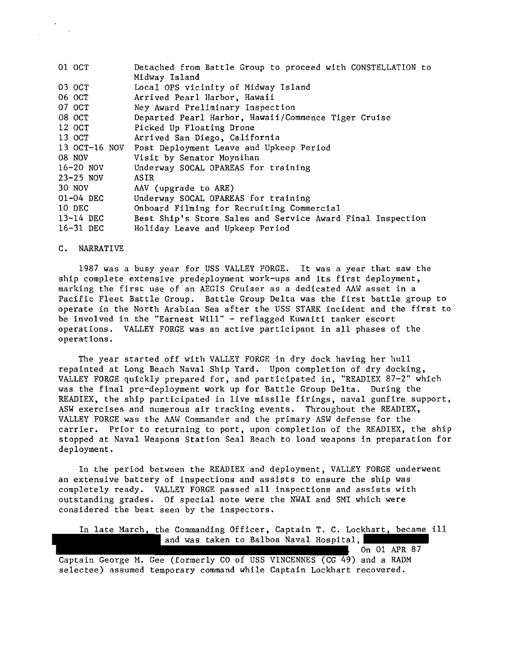| 01 OCT        | Detached from Battle Group to proceed with CONSTELLATION to |
|---------------|-------------------------------------------------------------|
|               | Midway Island                                               |
| 03 OCT        | Local OPS vicinity of Midway Island                         |
| 06 OCT        | Arrived Pearl Harbor, Hawaii                                |
| 07 OCT        | Ney Award Preliminary Inspection                            |
| 08 OCT        | Departed Pearl Harbor, Hawaii/Commence Tiger Cruise         |
| 12 OCT        | Picked Up Floating Drone                                    |
| 13 OCT        | Arrived San Diego, California                               |
| 13 OCT-16 NOV | Post Deployment Leave and Upkeep Period                     |
| 08 NOV        | Visit by Senator Moynihan                                   |
| $16 - 20$ NOV | Underway SOCAL OPAREAS for training                         |
| $23 - 25$ NOV | ASIR                                                        |
| 30 NOV        | AAV (upgrade to ARE)                                        |
| 01-04 DEC     | Underway SOCAL OPAREAS for training                         |
| 10 DEC        | Onboard Filming for Recruiting Commercial                   |
| $13 - 14$ DEC | Best Ship's Store Sales and Service Award Final Inspection  |
| 16-31 DEC     | Holiday Leave and Upkeep Period                             |

## C. NARRATIVE

1987 was a busy year for USS VALLEY FORGE. It was a year that saw the ship complete extensive predeployment work-ups and its first deployment, marking the first use of an AEGIS Cruiser as a dedicated AAW asset in a Pacific Fleet Battle Group. Battle Group Delta was the first battle group to operate in the North Arabian Sea after the USS STARK incident and the first to be involved in the "Earnest Will" - reflagged Kuwaiti tanker escort operations. VALLEY FORGE was an active participant in all phases of the operations.

The year started off with VALLEY FORGE in dry dock having her hull repainted at Long Beach Naval Ship Yard. Upon completion of dry docking, VALLEY FORGE quickly prepared for, and participated in, "READIEX 87-2" which was the final pre-deployment work up for Battle Group Delta. During the READIEX, the ship participated in live missile firings, naval gunfire support, ASW exercises and numerous air tracking events. Throughout the READIEX, VALLEY FORGE was the AAW Commander and the primary ASW defense for the carrier. Prior to returning to port, upon completion of the READIEX, the ship stopped at Naval Weapons Station Seal Beach to load weapons in preparation for deployment.

In the period between the READIEX and deployment, VALLEY FORGE underwent an extensive battery of inspections and assists to ensure the ship was completely ready. VALLEY FORGE passed all inspections and assists with outstanding grades. Of special note were the NWAI and SMI which were considered the best seen by the inspectors.

In late March, the Commanding Officer, Captain T. C. Lockhart, became ill and was taken to Balboa Naval Hospital, On 01 APR 87

Captain George M. Gee (formerly CO of USS VINCENNES (CG 49) and a RADM selectee) assumed temporary command while Captain Lockhart recovered.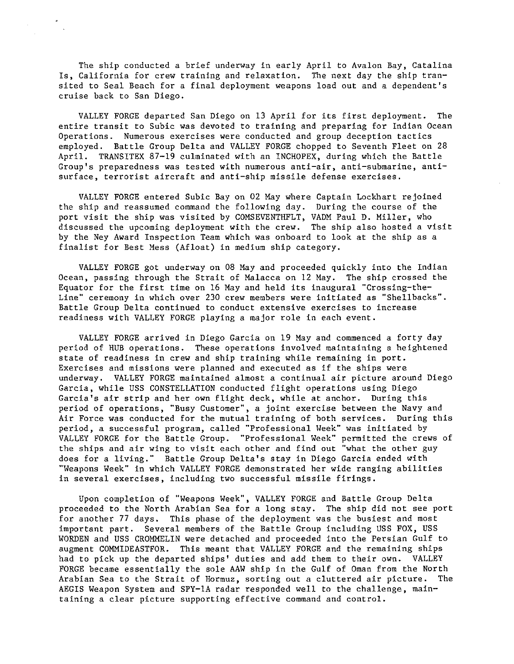The ship conducted a brief underway in early April to Avalon Bay, Catalina Is, California for crew training and relaxation. The next day the ship transited to Seal Beach for a final deployment weapons load out and a dependent's cruise back to San Diego.

VALLEY FORGE departed San Diego on 13 April for its first deployment. The entire transit to Subic was devoted to training and preparing for Indian Ocean Operations. Numerous exercises were conducted and group deception tactics employed. Battle Group Delta and VALLEY FORGE chopped to Seventh Fleet on 28 April. TRANSITEX 87-19 culminated with an INCHOPEX, during which the Battle **Group's preparedness was tested with numerous anti-air, anti-submarine, anti**surface, terrorist aircraft and anti-ship missile defense exercises.

VALLEY FORGE entered Subic Bay on 02 May where Captain Lockhart rejoined the ship and reassumed command the following day. During the course of the port visit the ship was visited by COMSEVENTHFLT, VADM Paul D. Miller, who discussed the upcoming deployment with the crew. The ship also hosted a visit by the Ney Award Inspection Team which was onboard to look at the ship as a finalist for Best Mess (Afloat) in medium ship category.

VALLEY FORGE got underway on 08 May and proceeded quickly into the Indian Ocean, passing through the Strait of Malacca on 12 May. The ship crossed the Equator for the first time on 16 May and held its inaugural "Crossing-the-Line'" ceremony in which over 230 crew members were initiated as '"Shellbacks'". Battle Group Delta continued to conduct extensive exercises to increase readiness with VALLEY FORGE playing a major role in each event.

VALLEY FORGE arrived in Diego Garcia on 19 May and commenced a forty day period of HUB operations. These operations involved maintaining a heightened state of readiness in crew and ship training while remaining in port. Exercises and missions were planned and executed as if the ships were underway. VALLEY FORGE maintained almost a continual air picture around Diego Garcia, while USS CONSTELLATION conducted flight operations using Diego Garcia's air strip and her own flight deck, while at anchor. During this period of operations, "Busy Customer", a joint exercise between the Navy and Air Force was conducted for the mutual training of both services. During this period, a successful program, called '"Professional Week'" was initiated by VALLEY FORGE for the Battle Group. '"Professional Week'" permitted the crews of the ships and air wing to visit each other and find out '"what the other guy does for a living.'" Battle Group Delta's stay in Diego Garcia ended with ""Weapons Week'" in which VALLEY FORGE demonstrated her wide ranging abilities in several exercises, including two successful missile firings.

Upon completion of ""Weapons Week'", VALLEY FORGE and Battle Group Delta proceeded to the North Arabian Sea for a long stay. The ship did not see port for another 77 days. This phase of the deployment was the busiest and most important part. Several members of the Battle Group including USS FOX, USS WORDEN and USS CROMMELIN were detached and proceeded into the Persian Gulf to augment COMMIDEASTFOR. This meant that VALLEY FORGE and the remaining ships had to pick up the departed ships' duties and add them to their own. VALLEY FORGE became essentially the sole AAW ship in the Gulf of Oman from the North Arabian Sea to the Strait of Hormuz, sorting out a cluttered air picture. The AEGIS Weapon System and SPY-lA radar responded well to the challenge, maintaining a clear picture supporting effective command and control.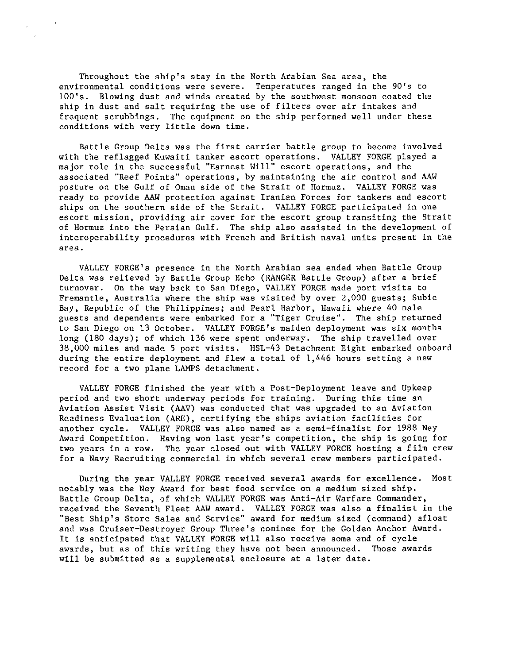Throughout the ship's stay in the North Arabian Sea area, the environmental conditions were severe. Temperatures ranged in the 90's to lOO's. Blowing dust and winds created by the southwest monsoon coated the ship in dust and salt requiring the use of filters over air intakes and frequent scrubbings. The equipment on the ship performed well under these conditions with very little down time.

Battle Group Delta was the first carrier battle group to become involved with the reflagged Kuwaiti tanker escort operations. VALLEY FORGE played a major role in the successful "Earnest Will" escort operations, and the associated "Reef Points" operations, by maintaining the air control and AAW posture on the Gulf of Oman side of the Strait of Hormuz. VALLEY FORGE was ready to provide AAW protection against Iranian Forces for tankers and escort ships on the southern side of the Strait. VALLEY FORGE participated in one escort mission, providing air cover for the escort group transiting the Strait of Hormuz into the Persian Gulf. The ship also assisted in the development of interoperability procedures with French and British naval units present in the **area.** 

VALLEY FORGE's presence in the North Arabian sea ended when Battle Group Delta was relieved by Battle Group Echo (RANGER Battle Group) after a brief turnover. On the way back to San Diego, VALLEY FORGE made port visits to Fremantle, Australia where the ship was visited by over 2,000 guests; Subic Bay, Republic of the Philippines; and Pearl Harbor, Hawaii where 40 male guests and dependents were embarked for a "Tiger Cruise". The ship returned to San Diego on 13 October. VALLEY FORGE's maiden deployment was six months long (180 days); of which 136 were spent underway. The ship travelled over 38,000 miles and made S port visits. HSL-43 Detachment Eight embarked onboard during the entire deployment and flew a total of 1,446 hours setting a new record for a two plane LAMPS detachment.

VALLEY FORGE finished the year with a Post-Deployment leave and Upkeep period and two short underway periods for training. During this time an Aviation Assist Visit (AAV) was conducted that was upgraded to an Aviation Readiness Evaluation (ARE), certifying the ships aviation facilities for another cycle. VALLEY FORGE was also named as a semi-finalist for 1988 Ney Award Competition. Having won last year's competition, the ship is going for two years in a row. The year closed out with VALLEY FORGE hosting a film crew for a Navy Recruiting commercial in which several crew members participated.

During the year VALLEY FORGE received several awards for excellence. Most notably was the Ney Award for best food service on a medium sized ship. Battle Group Delta, of which VALLEY FORGE was Anti-Air Warfare Commander, received the Seventh Fleet AAW award. VALLEY FORGE was also a finalist in the "Best Ship's Store Sales and Service" award for medium sized (command) afloat and was Cruiser-Destroyer Group Three's nominee for the Golden Anchor Award. It is anticipated that VALLEY FORGE will also receive some end of cycle awards, but as of this writing they have not been announced. Those awards will be submitted as a supplemental enclosure at a later date.